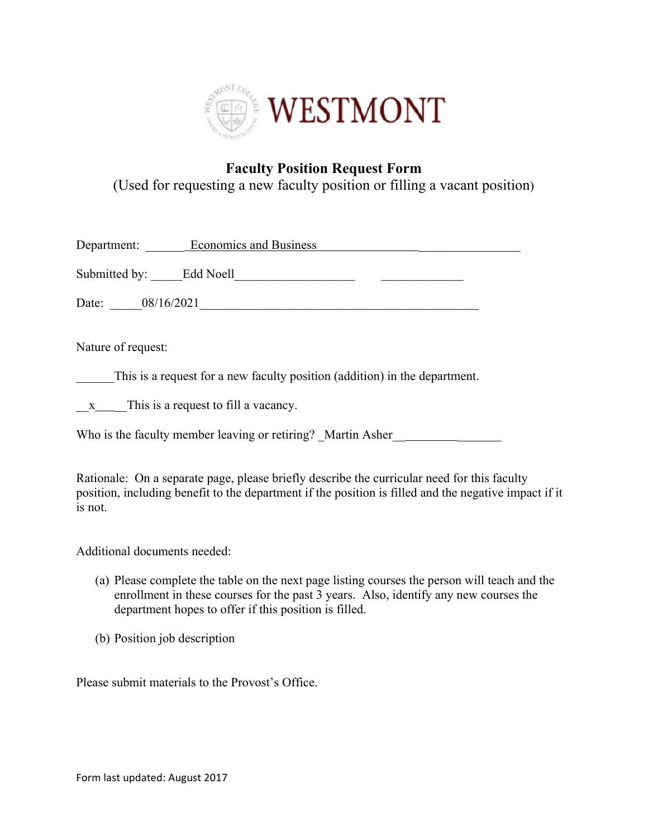

## **Faculty Position Request Form**  (Used for requesting a new faculty position or filling a vacant position)

| Department:             | <b>Economics and Business</b> |
|-------------------------|-------------------------------|
| Submitted by: Edd Noell |                               |
| 08/16/2021<br>Date:     |                               |
| Nature of request:      |                               |

This is a request for a new faculty position (addition) in the department.

 $x_{\text{max}}$  This is a request to fill a vacancy.

Who is the faculty member leaving or retiring? Martin Asher

Rationale: On a separate page, please briefly describe the curricular need for this faculty position, including benefit to the department if the position is filled and the negative impact if it is not.

Additional documents needed:

- (a) Please complete the table on the next page listing courses the person will teach and the enrollment in these courses for the past 3 years. Also, identify any new courses the department hopes to offer if this position is filled.
- (b) Position job description

Please submit materials to the Provost's Office.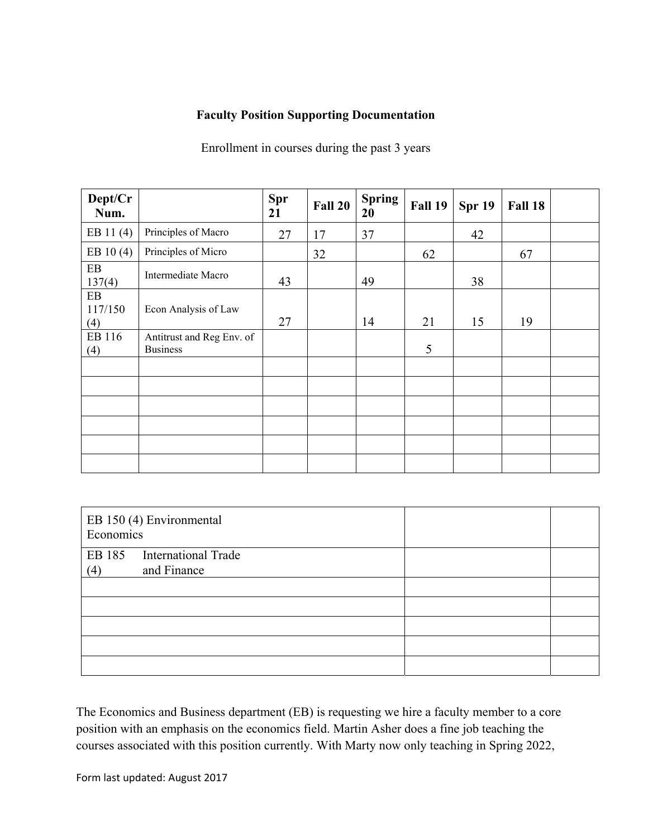## **Faculty Position Supporting Documentation**

Enrollment in courses during the past 3 years

| Dept/Cr<br>Num.      |                                              | Spr<br>21 | <b>Fall 20</b> | <b>Spring</b><br>20 | Fall 19 | Spr 19 | Fall 18 |  |
|----------------------|----------------------------------------------|-----------|----------------|---------------------|---------|--------|---------|--|
| EB 11(4)             | Principles of Macro                          | 27        | 17             | 37                  |         | 42     |         |  |
| EB 10(4)             | Principles of Micro                          |           | 32             |                     | 62      |        | 67      |  |
| EB<br>137(4)         | Intermediate Macro                           | 43        |                | 49                  |         | 38     |         |  |
| EB<br>117/150<br>(4) | Econ Analysis of Law                         | 27        |                | 14                  | 21      | 15     | 19      |  |
| EB 116<br>(4)        | Antitrust and Reg Env. of<br><b>Business</b> |           |                |                     | 5       |        |         |  |
|                      |                                              |           |                |                     |         |        |         |  |
|                      |                                              |           |                |                     |         |        |         |  |
|                      |                                              |           |                |                     |         |        |         |  |
|                      |                                              |           |                |                     |         |        |         |  |
|                      |                                              |           |                |                     |         |        |         |  |
|                      |                                              |           |                |                     |         |        |         |  |

|     | EB 150 (4) Environmental<br>Economics |  |
|-----|---------------------------------------|--|
|     | EB 185 International Trade            |  |
| (4) | and Finance                           |  |
|     |                                       |  |
|     |                                       |  |
|     |                                       |  |
|     |                                       |  |
|     |                                       |  |

The Economics and Business department (EB) is requesting we hire a faculty member to a core position with an emphasis on the economics field. Martin Asher does a fine job teaching the courses associated with this position currently. With Marty now only teaching in Spring 2022,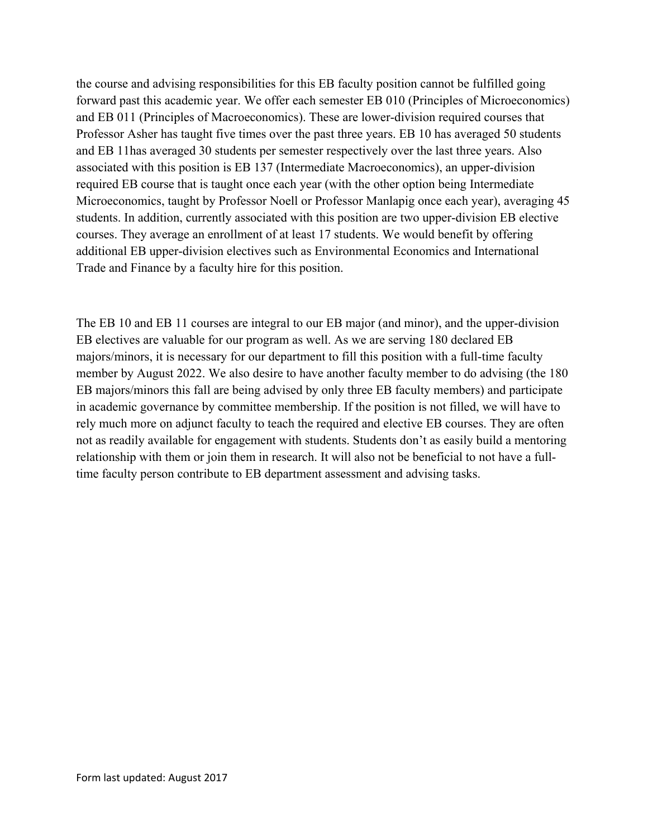the course and advising responsibilities for this EB faculty position cannot be fulfilled going forward past this academic year. We offer each semester EB 010 (Principles of Microeconomics) and EB 011 (Principles of Macroeconomics). These are lower-division required courses that Professor Asher has taught five times over the past three years. EB 10 has averaged 50 students and EB 11has averaged 30 students per semester respectively over the last three years. Also associated with this position is EB 137 (Intermediate Macroeconomics), an upper-division required EB course that is taught once each year (with the other option being Intermediate Microeconomics, taught by Professor Noell or Professor Manlapig once each year), averaging 45 students. In addition, currently associated with this position are two upper-division EB elective courses. They average an enrollment of at least 17 students. We would benefit by offering additional EB upper-division electives such as Environmental Economics and International Trade and Finance by a faculty hire for this position.

The EB 10 and EB 11 courses are integral to our EB major (and minor), and the upper-division EB electives are valuable for our program as well. As we are serving 180 declared EB majors/minors, it is necessary for our department to fill this position with a full-time faculty member by August 2022. We also desire to have another faculty member to do advising (the 180 EB majors/minors this fall are being advised by only three EB faculty members) and participate in academic governance by committee membership. If the position is not filled, we will have to rely much more on adjunct faculty to teach the required and elective EB courses. They are often not as readily available for engagement with students. Students don't as easily build a mentoring relationship with them or join them in research. It will also not be beneficial to not have a fulltime faculty person contribute to EB department assessment and advising tasks.